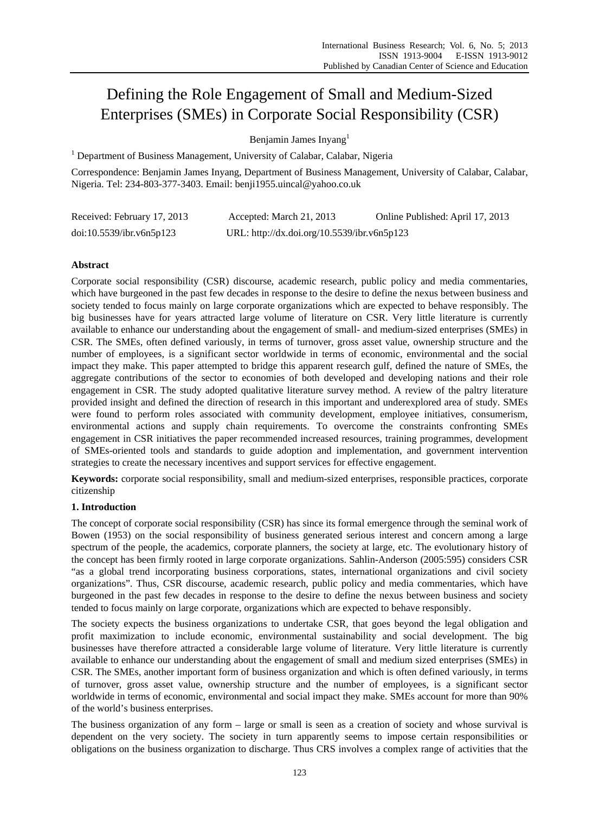# Defining the Role Engagement of Small and Medium-Sized Enterprises (SMEs) in Corporate Social Responsibility (CSR)

Benjamin James Inyang<sup>1</sup>

<sup>1</sup> Department of Business Management, University of Calabar, Calabar, Nigeria

Correspondence: Benjamin James Inyang, Department of Business Management, University of Calabar, Calabar, Nigeria. Tel: 234-803-377-3403. Email: benji1955.uincal@yahoo.co.uk

| Received: February 17, 2013 | Accepted: March 21, 2013                    | Online Published: April 17, 2013 |
|-----------------------------|---------------------------------------------|----------------------------------|
| doi:10.5539/ibr.v6n5p123    | URL: http://dx.doi.org/10.5539/ibr.v6n5p123 |                                  |

## **Abstract**

Corporate social responsibility (CSR) discourse, academic research, public policy and media commentaries, which have burgeoned in the past few decades in response to the desire to define the nexus between business and society tended to focus mainly on large corporate organizations which are expected to behave responsibly. The big businesses have for years attracted large volume of literature on CSR. Very little literature is currently available to enhance our understanding about the engagement of small- and medium-sized enterprises (SMEs) in CSR. The SMEs, often defined variously, in terms of turnover, gross asset value, ownership structure and the number of employees, is a significant sector worldwide in terms of economic, environmental and the social impact they make. This paper attempted to bridge this apparent research gulf, defined the nature of SMEs, the aggregate contributions of the sector to economies of both developed and developing nations and their role engagement in CSR. The study adopted qualitative literature survey method. A review of the paltry literature provided insight and defined the direction of research in this important and underexplored area of study. SMEs were found to perform roles associated with community development, employee initiatives, consumerism, environmental actions and supply chain requirements. To overcome the constraints confronting SMEs engagement in CSR initiatives the paper recommended increased resources, training programmes, development of SMEs-oriented tools and standards to guide adoption and implementation, and government intervention strategies to create the necessary incentives and support services for effective engagement.

**Keywords:** corporate social responsibility, small and medium-sized enterprises, responsible practices, corporate citizenship

## **1. Introduction**

The concept of corporate social responsibility (CSR) has since its formal emergence through the seminal work of Bowen (1953) on the social responsibility of business generated serious interest and concern among a large spectrum of the people, the academics, corporate planners, the society at large, etc. The evolutionary history of the concept has been firmly rooted in large corporate organizations. Sahlin-Anderson (2005:595) considers CSR "as a global trend incorporating business corporations, states, international organizations and civil society organizations". Thus, CSR discourse, academic research, public policy and media commentaries, which have burgeoned in the past few decades in response to the desire to define the nexus between business and society tended to focus mainly on large corporate, organizations which are expected to behave responsibly.

The society expects the business organizations to undertake CSR, that goes beyond the legal obligation and profit maximization to include economic, environmental sustainability and social development. The big businesses have therefore attracted a considerable large volume of literature. Very little literature is currently available to enhance our understanding about the engagement of small and medium sized enterprises (SMEs) in CSR. The SMEs, another important form of business organization and which is often defined variously, in terms of turnover, gross asset value, ownership structure and the number of employees, is a significant sector worldwide in terms of economic, environmental and social impact they make. SMEs account for more than 90% of the world's business enterprises.

The business organization of any form – large or small is seen as a creation of society and whose survival is dependent on the very society. The society in turn apparently seems to impose certain responsibilities or obligations on the business organization to discharge. Thus CRS involves a complex range of activities that the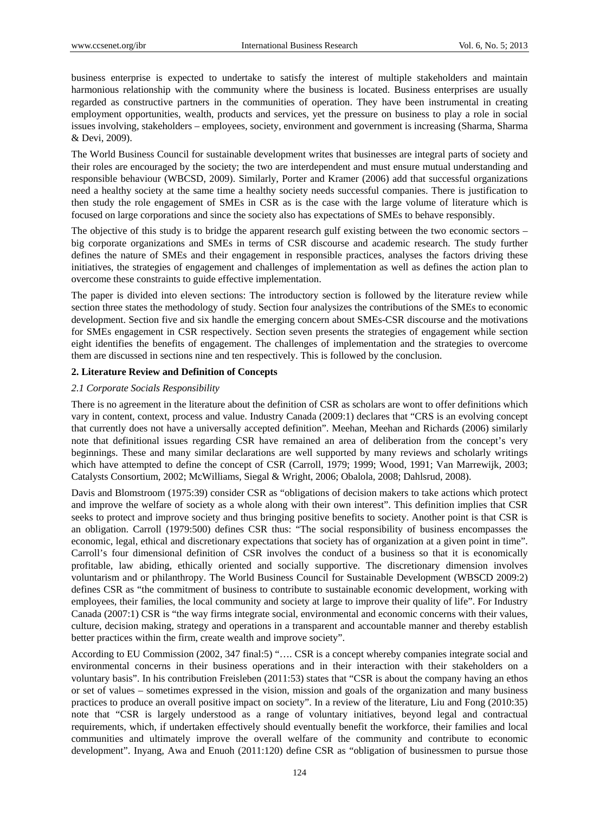business enterprise is expected to undertake to satisfy the interest of multiple stakeholders and maintain harmonious relationship with the community where the business is located. Business enterprises are usually regarded as constructive partners in the communities of operation. They have been instrumental in creating employment opportunities, wealth, products and services, yet the pressure on business to play a role in social issues involving, stakeholders – employees, society, environment and government is increasing (Sharma, Sharma & Devi, 2009).

The World Business Council for sustainable development writes that businesses are integral parts of society and their roles are encouraged by the society; the two are interdependent and must ensure mutual understanding and responsible behaviour (WBCSD, 2009). Similarly, Porter and Kramer (2006) add that successful organizations need a healthy society at the same time a healthy society needs successful companies. There is justification to then study the role engagement of SMEs in CSR as is the case with the large volume of literature which is focused on large corporations and since the society also has expectations of SMEs to behave responsibly.

The objective of this study is to bridge the apparent research gulf existing between the two economic sectors – big corporate organizations and SMEs in terms of CSR discourse and academic research. The study further defines the nature of SMEs and their engagement in responsible practices, analyses the factors driving these initiatives, the strategies of engagement and challenges of implementation as well as defines the action plan to overcome these constraints to guide effective implementation.

The paper is divided into eleven sections: The introductory section is followed by the literature review while section three states the methodology of study. Section four analysizes the contributions of the SMEs to economic development. Section five and six handle the emerging concern about SMEs-CSR discourse and the motivations for SMEs engagement in CSR respectively. Section seven presents the strategies of engagement while section eight identifies the benefits of engagement. The challenges of implementation and the strategies to overcome them are discussed in sections nine and ten respectively. This is followed by the conclusion.

## **2. Literature Review and Definition of Concepts**

## *2.1 Corporate Socials Responsibility*

There is no agreement in the literature about the definition of CSR as scholars are wont to offer definitions which vary in content, context, process and value. Industry Canada (2009:1) declares that "CRS is an evolving concept that currently does not have a universally accepted definition". Meehan, Meehan and Richards (2006) similarly note that definitional issues regarding CSR have remained an area of deliberation from the concept's very beginnings. These and many similar declarations are well supported by many reviews and scholarly writings which have attempted to define the concept of CSR (Carroll, 1979; 1999; Wood, 1991; Van Marrewijk, 2003; Catalysts Consortium, 2002; McWilliams, Siegal & Wright, 2006; Obalola, 2008; Dahlsrud, 2008).

Davis and Blomstroom (1975:39) consider CSR as "obligations of decision makers to take actions which protect and improve the welfare of society as a whole along with their own interest". This definition implies that CSR seeks to protect and improve society and thus bringing positive benefits to society. Another point is that CSR is an obligation. Carroll (1979:500) defines CSR thus: "The social responsibility of business encompasses the economic, legal, ethical and discretionary expectations that society has of organization at a given point in time". Carroll's four dimensional definition of CSR involves the conduct of a business so that it is economically profitable, law abiding, ethically oriented and socially supportive. The discretionary dimension involves voluntarism and or philanthropy. The World Business Council for Sustainable Development (WBSCD 2009:2) defines CSR as "the commitment of business to contribute to sustainable economic development, working with employees, their families, the local community and society at large to improve their quality of life". For Industry Canada (2007:1) CSR is "the way firms integrate social, environmental and economic concerns with their values, culture, decision making, strategy and operations in a transparent and accountable manner and thereby establish better practices within the firm, create wealth and improve society".

According to EU Commission (2002, 347 final:5) "…. CSR is a concept whereby companies integrate social and environmental concerns in their business operations and in their interaction with their stakeholders on a voluntary basis". In his contribution Freisleben (2011:53) states that "CSR is about the company having an ethos or set of values – sometimes expressed in the vision, mission and goals of the organization and many business practices to produce an overall positive impact on society". In a review of the literature, Liu and Fong (2010:35) note that "CSR is largely understood as a range of voluntary initiatives, beyond legal and contractual requirements, which, if undertaken effectively should eventually benefit the workforce, their families and local communities and ultimately improve the overall welfare of the community and contribute to economic development". Inyang, Awa and Enuoh (2011:120) define CSR as "obligation of businessmen to pursue those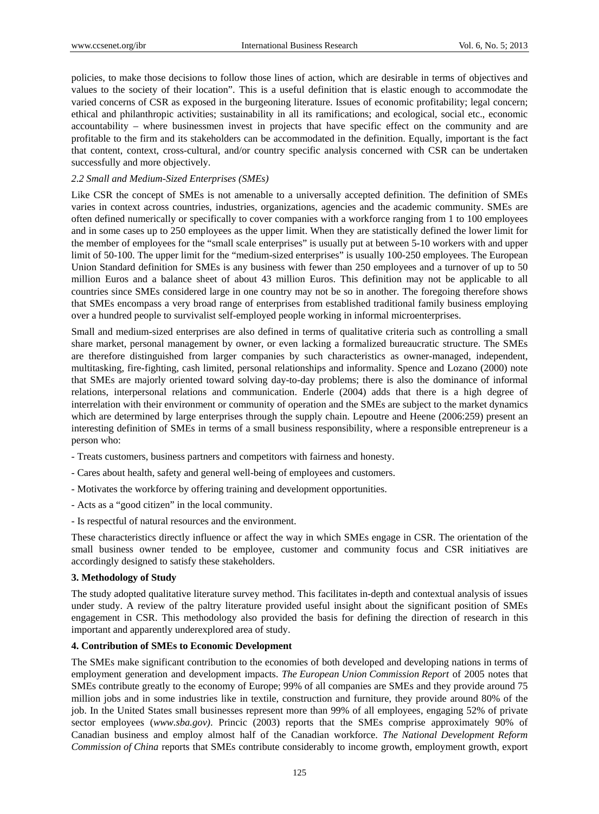policies, to make those decisions to follow those lines of action, which are desirable in terms of objectives and values to the society of their location". This is a useful definition that is elastic enough to accommodate the varied concerns of CSR as exposed in the burgeoning literature. Issues of economic profitability; legal concern; ethical and philanthropic activities; sustainability in all its ramifications; and ecological, social etc., economic accountability – where businessmen invest in projects that have specific effect on the community and are profitable to the firm and its stakeholders can be accommodated in the definition. Equally, important is the fact that content, context, cross-cultural, and/or country specific analysis concerned with CSR can be undertaken successfully and more objectively.

#### *2.2 Small and Medium-Sized Enterprises (SMEs)*

Like CSR the concept of SMEs is not amenable to a universally accepted definition. The definition of SMEs varies in context across countries, industries, organizations, agencies and the academic community. SMEs are often defined numerically or specifically to cover companies with a workforce ranging from 1 to 100 employees and in some cases up to 250 employees as the upper limit. When they are statistically defined the lower limit for the member of employees for the "small scale enterprises" is usually put at between 5-10 workers with and upper limit of 50-100. The upper limit for the "medium-sized enterprises" is usually 100-250 employees. The European Union Standard definition for SMEs is any business with fewer than 250 employees and a turnover of up to 50 million Euros and a balance sheet of about 43 million Euros. This definition may not be applicable to all countries since SMEs considered large in one country may not be so in another. The foregoing therefore shows that SMEs encompass a very broad range of enterprises from established traditional family business employing over a hundred people to survivalist self-employed people working in informal microenterprises.

Small and medium-sized enterprises are also defined in terms of qualitative criteria such as controlling a small share market, personal management by owner, or even lacking a formalized bureaucratic structure. The SMEs are therefore distinguished from larger companies by such characteristics as owner-managed, independent, multitasking, fire-fighting, cash limited, personal relationships and informality. Spence and Lozano (2000) note that SMEs are majorly oriented toward solving day-to-day problems; there is also the dominance of informal relations, interpersonal relations and communication. Enderle (2004) adds that there is a high degree of interrelation with their environment or community of operation and the SMEs are subject to the market dynamics which are determined by large enterprises through the supply chain. Lepoutre and Heene (2006:259) present an interesting definition of SMEs in terms of a small business responsibility, where a responsible entrepreneur is a person who:

- Treats customers, business partners and competitors with fairness and honesty.
- Cares about health, safety and general well-being of employees and customers.
- Motivates the workforce by offering training and development opportunities.
- Acts as a "good citizen" in the local community.
- Is respectful of natural resources and the environment.

These characteristics directly influence or affect the way in which SMEs engage in CSR. The orientation of the small business owner tended to be employee, customer and community focus and CSR initiatives are accordingly designed to satisfy these stakeholders.

#### **3. Methodology of Study**

The study adopted qualitative literature survey method. This facilitates in-depth and contextual analysis of issues under study. A review of the paltry literature provided useful insight about the significant position of SMEs engagement in CSR. This methodology also provided the basis for defining the direction of research in this important and apparently underexplored area of study.

## **4. Contribution of SMEs to Economic Development**

The SMEs make significant contribution to the economies of both developed and developing nations in terms of employment generation and development impacts. *The European Union Commission Report* of 2005 notes that SMEs contribute greatly to the economy of Europe; 99% of all companies are SMEs and they provide around 75 million jobs and in some industries like in textile, construction and furniture, they provide around 80% of the job. In the United States small businesses represent more than 99% of all employees, engaging 52% of private sector employees (*www.sba.gov*). Princic (2003) reports that the SMEs comprise approximately 90% of Canadian business and employ almost half of the Canadian workforce. *The National Development Reform Commission of China* reports that SMEs contribute considerably to income growth, employment growth, export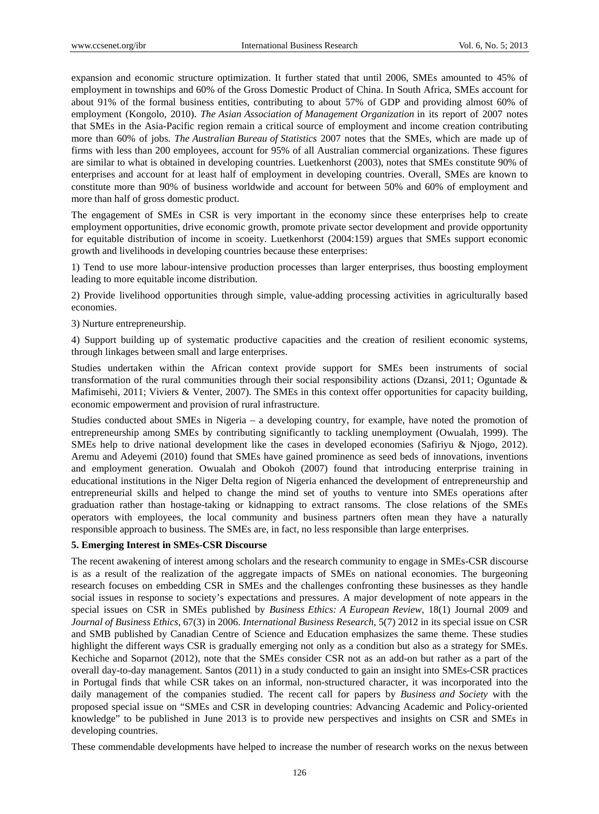expansion and economic structure optimization. It further stated that until 2006, SMEs amounted to 45% of employment in townships and 60% of the Gross Domestic Product of China. In South Africa, SMEs account for about 91% of the formal business entities, contributing to about 57% of GDP and providing almost 60% of employment (Kongolo, 2010). *The Asian Association of Management Organization* in its report of 2007 notes that SMEs in the Asia-Pacific region remain a critical source of employment and income creation contributing more than 60% of jobs. *The Australian Bureau of Statistics* 2007 notes that the SMEs, which are made up of firms with less than 200 employees, account for 95% of all Australian commercial organizations. These figures are similar to what is obtained in developing countries. Luetkenhorst (2003), notes that SMEs constitute 90% of enterprises and account for at least half of employment in developing countries. Overall, SMEs are known to constitute more than 90% of business worldwide and account for between 50% and 60% of employment and more than half of gross domestic product.

The engagement of SMEs in CSR is very important in the economy since these enterprises help to create employment opportunities, drive economic growth, promote private sector development and provide opportunity for equitable distribution of income in scoeity. Luetkenhorst (2004:159) argues that SMEs support economic growth and livelihoods in developing countries because these enterprises:

1) Tend to use more labour-intensive production processes than larger enterprises, thus boosting employment leading to more equitable income distribution.

2) Provide livelihood opportunities through simple, value-adding processing activities in agriculturally based economies.

3) Nurture entrepreneurship.

4) Support building up of systematic productive capacities and the creation of resilient economic systems, through linkages between small and large enterprises.

Studies undertaken within the African context provide support for SMEs been instruments of social transformation of the rural communities through their social responsibility actions (Dzansi, 2011; Oguntade & Mafimisehi, 2011; Viviers & Venter, 2007). The SMEs in this context offer opportunities for capacity building, economic empowerment and provision of rural infrastructure.

Studies conducted about SMEs in Nigeria – a developing country, for example, have noted the promotion of entrepreneurship among SMEs by contributing significantly to tackling unemployment (Owualah, 1999). The SMEs help to drive national development like the cases in developed economies (Safiriyu & Njogo, 2012). Aremu and Adeyemi (2010) found that SMEs have gained prominence as seed beds of innovations, inventions and employment generation. Owualah and Obokoh (2007) found that introducing enterprise training in educational institutions in the Niger Delta region of Nigeria enhanced the development of entrepreneurship and entrepreneurial skills and helped to change the mind set of youths to venture into SMEs operations after graduation rather than hostage-taking or kidnapping to extract ransoms. The close relations of the SMEs operators with employees, the local community and business partners often mean they have a naturally responsible approach to business. The SMEs are, in fact, no less responsible than large enterprises.

# **5. Emerging Interest in SMEs-CSR Discourse**

The recent awakening of interest among scholars and the research community to engage in SMEs-CSR discourse is as a result of the realization of the aggregate impacts of SMEs on national economies. The burgeoning research focuses on embedding CSR in SMEs and the challenges confronting these businesses as they handle social issues in response to society's expectations and pressures. A major development of note appears in the special issues on CSR in SMEs published by *Business Ethics: A European Review*, 18(1) Journal 2009 and *Journal of Business Ethics*, 67(3) in 2006. *International Business Research*, 5(7) 2012 in its special issue on CSR and SMB published by Canadian Centre of Science and Education emphasizes the same theme. These studies highlight the different ways CSR is gradually emerging not only as a condition but also as a strategy for SMEs. Kechiche and Soparnot (2012), note that the SMEs consider CSR not as an add-on but rather as a part of the overall day-to-day management. Santos (2011) in a study conducted to gain an insight into SMEs-CSR practices in Portugal finds that while CSR takes on an informal, non-structured character, it was incorporated into the daily management of the companies studied. The recent call for papers by *Business and Society* with the proposed special issue on "SMEs and CSR in developing countries: Advancing Academic and Policy-oriented knowledge" to be published in June 2013 is to provide new perspectives and insights on CSR and SMEs in developing countries.

These commendable developments have helped to increase the number of research works on the nexus between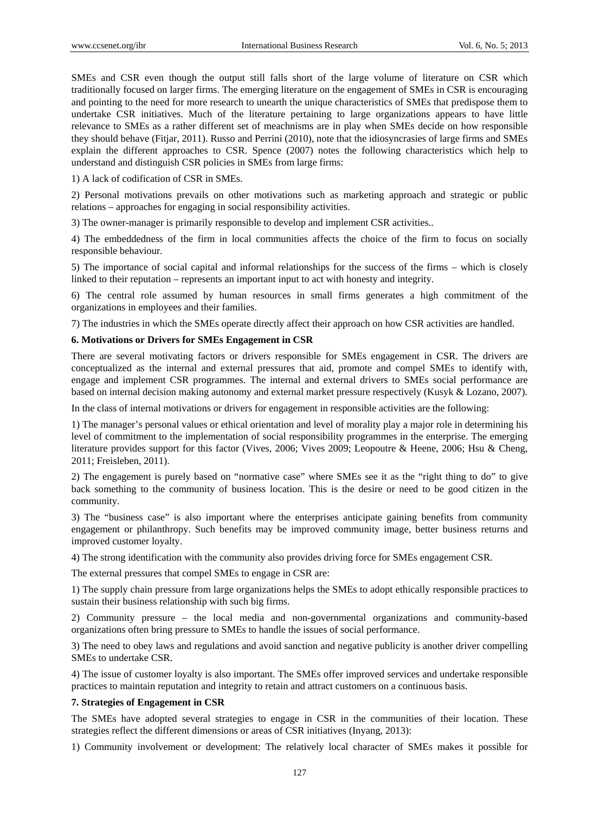SMEs and CSR even though the output still falls short of the large volume of literature on CSR which traditionally focused on larger firms. The emerging literature on the engagement of SMEs in CSR is encouraging and pointing to the need for more research to unearth the unique characteristics of SMEs that predispose them to undertake CSR initiatives. Much of the literature pertaining to large organizations appears to have little relevance to SMEs as a rather different set of meachnisms are in play when SMEs decide on how responsible they should behave (Fitjar, 2011). Russo and Perrini (2010), note that the idiosyncrasies of large firms and SMEs explain the different approaches to CSR. Spence (2007) notes the following characteristics which help to understand and distinguish CSR policies in SMEs from large firms:

1) A lack of codification of CSR in SMEs.

2) Personal motivations prevails on other motivations such as marketing approach and strategic or public relations – approaches for engaging in social responsibility activities.

3) The owner-manager is primarily responsible to develop and implement CSR activities..

4) The embeddedness of the firm in local communities affects the choice of the firm to focus on socially responsible behaviour.

5) The importance of social capital and informal relationships for the success of the firms – which is closely linked to their reputation – represents an important input to act with honesty and integrity.

6) The central role assumed by human resources in small firms generates a high commitment of the organizations in employees and their families.

7) The industries in which the SMEs operate directly affect their approach on how CSR activities are handled.

## **6. Motivations or Drivers for SMEs Engagement in CSR**

There are several motivating factors or drivers responsible for SMEs engagement in CSR. The drivers are conceptualized as the internal and external pressures that aid, promote and compel SMEs to identify with, engage and implement CSR programmes. The internal and external drivers to SMEs social performance are based on internal decision making autonomy and external market pressure respectively (Kusyk & Lozano, 2007).

In the class of internal motivations or drivers for engagement in responsible activities are the following:

1) The manager's personal values or ethical orientation and level of morality play a major role in determining his level of commitment to the implementation of social responsibility programmes in the enterprise. The emerging literature provides support for this factor (Vives, 2006; Vives 2009; Leopoutre & Heene, 2006; Hsu & Cheng, 2011; Freisleben, 2011).

2) The engagement is purely based on "normative case" where SMEs see it as the "right thing to do" to give back something to the community of business location. This is the desire or need to be good citizen in the community.

3) The "business case" is also important where the enterprises anticipate gaining benefits from community engagement or philanthropy. Such benefits may be improved community image, better business returns and improved customer loyalty.

4) The strong identification with the community also provides driving force for SMEs engagement CSR.

The external pressures that compel SMEs to engage in CSR are:

1) The supply chain pressure from large organizations helps the SMEs to adopt ethically responsible practices to sustain their business relationship with such big firms.

2) Community pressure – the local media and non-governmental organizations and community-based organizations often bring pressure to SMEs to handle the issues of social performance.

3) The need to obey laws and regulations and avoid sanction and negative publicity is another driver compelling SMEs to undertake CSR.

4) The issue of customer loyalty is also important. The SMEs offer improved services and undertake responsible practices to maintain reputation and integrity to retain and attract customers on a continuous basis.

## **7. Strategies of Engagement in CSR**

The SMEs have adopted several strategies to engage in CSR in the communities of their location. These strategies reflect the different dimensions or areas of CSR initiatives (Inyang, 2013):

1) Community involvement or development: The relatively local character of SMEs makes it possible for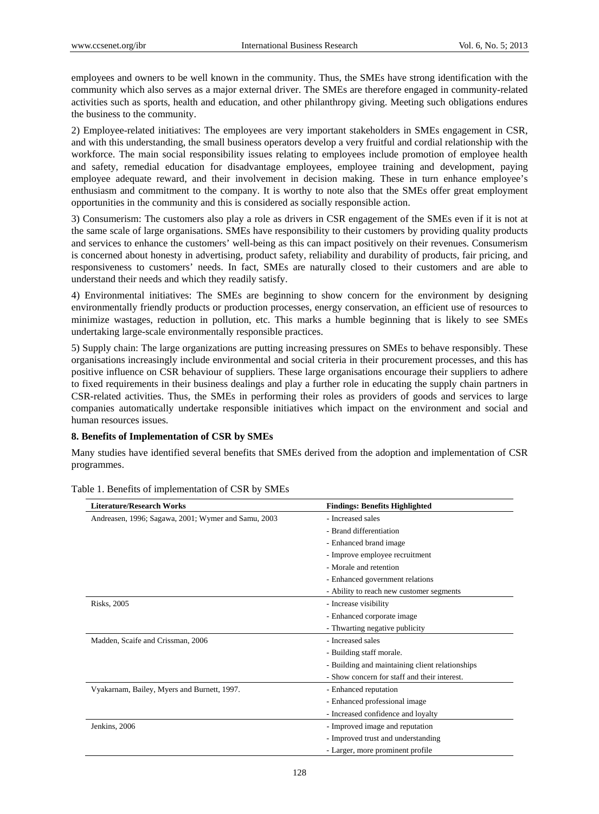employees and owners to be well known in the community. Thus, the SMEs have strong identification with the community which also serves as a major external driver. The SMEs are therefore engaged in community-related activities such as sports, health and education, and other philanthropy giving. Meeting such obligations endures the business to the community.

2) Employee-related initiatives: The employees are very important stakeholders in SMEs engagement in CSR, and with this understanding, the small business operators develop a very fruitful and cordial relationship with the workforce. The main social responsibility issues relating to employees include promotion of employee health and safety, remedial education for disadvantage employees, employee training and development, paying employee adequate reward, and their involvement in decision making. These in turn enhance employee's enthusiasm and commitment to the company. It is worthy to note also that the SMEs offer great employment opportunities in the community and this is considered as socially responsible action.

3) Consumerism: The customers also play a role as drivers in CSR engagement of the SMEs even if it is not at the same scale of large organisations. SMEs have responsibility to their customers by providing quality products and services to enhance the customers' well-being as this can impact positively on their revenues. Consumerism is concerned about honesty in advertising, product safety, reliability and durability of products, fair pricing, and responsiveness to customers' needs. In fact, SMEs are naturally closed to their customers and are able to understand their needs and which they readily satisfy.

4) Environmental initiatives: The SMEs are beginning to show concern for the environment by designing environmentally friendly products or production processes, energy conservation, an efficient use of resources to minimize wastages, reduction in pollution, etc. This marks a humble beginning that is likely to see SMEs undertaking large-scale environmentally responsible practices.

5) Supply chain: The large organizations are putting increasing pressures on SMEs to behave responsibly. These organisations increasingly include environmental and social criteria in their procurement processes, and this has positive influence on CSR behaviour of suppliers. These large organisations encourage their suppliers to adhere to fixed requirements in their business dealings and play a further role in educating the supply chain partners in CSR-related activities. Thus, the SMEs in performing their roles as providers of goods and services to large companies automatically undertake responsible initiatives which impact on the environment and social and human resources issues.

## **8. Benefits of Implementation of CSR by SMEs**

Many studies have identified several benefits that SMEs derived from the adoption and implementation of CSR programmes.

| <b>Literature/Research Works</b>                    | <b>Findings: Benefits Highlighted</b>           |
|-----------------------------------------------------|-------------------------------------------------|
| Andreasen, 1996; Sagawa, 2001; Wymer and Samu, 2003 | - Increased sales                               |
|                                                     | - Brand differentiation                         |
|                                                     | - Enhanced brand image                          |
|                                                     | - Improve employee recruitment                  |
|                                                     | - Morale and retention                          |
|                                                     | - Enhanced government relations                 |
|                                                     | - Ability to reach new customer segments        |
| <b>Risks</b> , 2005                                 | - Increase visibility                           |
|                                                     | - Enhanced corporate image                      |
|                                                     | - Thwarting negative publicity                  |
| Madden, Scaife and Crissman, 2006                   | - Increased sales                               |
|                                                     | - Building staff morale.                        |
|                                                     | - Building and maintaining client relationships |
|                                                     | - Show concern for staff and their interest.    |
| Vyakarnam, Bailey, Myers and Burnett, 1997.         | - Enhanced reputation                           |
|                                                     | - Enhanced professional image                   |
|                                                     | - Increased confidence and loyalty              |
| Jenkins, 2006                                       | - Improved image and reputation                 |
|                                                     | - Improved trust and understanding              |
|                                                     | - Larger, more prominent profile                |

## Table 1. Benefits of implementation of CSR by SMEs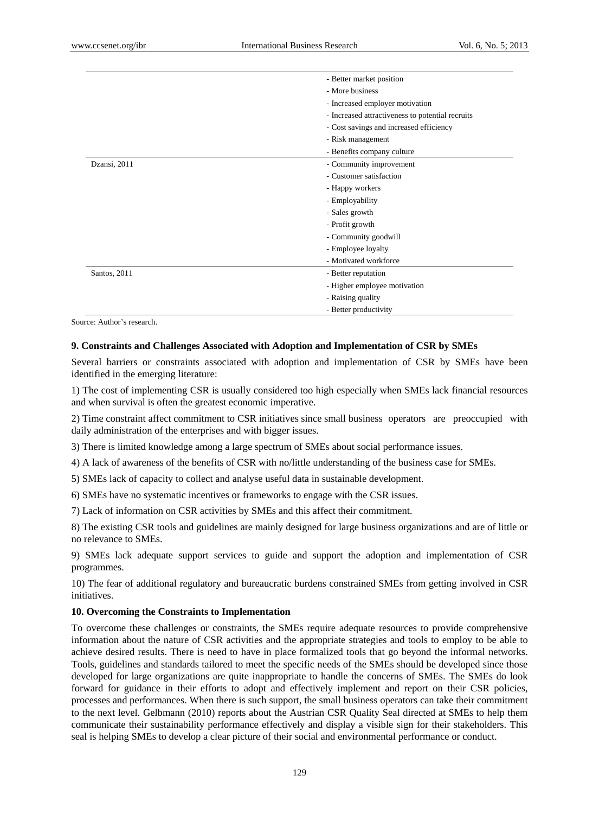|              | - Better market position                         |
|--------------|--------------------------------------------------|
|              | - More business                                  |
|              | - Increased employer motivation                  |
|              | - Increased attractiveness to potential recruits |
|              | - Cost savings and increased efficiency          |
|              | - Risk management                                |
|              | - Benefits company culture                       |
| Dzansi, 2011 | - Community improvement                          |
|              | - Customer satisfaction                          |
|              | - Happy workers                                  |
|              | - Employability                                  |
|              | - Sales growth                                   |
|              | - Profit growth                                  |
|              | - Community goodwill                             |
|              | - Employee loyalty                               |
|              | - Motivated workforce                            |
| Santos, 2011 | - Better reputation                              |
|              | - Higher employee motivation                     |
|              | - Raising quality                                |
|              | - Better productivity                            |

Source: Author's research.

#### **9. Constraints and Challenges Associated with Adoption and Implementation of CSR by SMEs**

Several barriers or constraints associated with adoption and implementation of CSR by SMEs have been identified in the emerging literature:

1) The cost of implementing CSR is usually considered too high especially when SMEs lack financial resources and when survival is often the greatest economic imperative.

2) Time constraint affect commitment to CSR initiatives since small business operators are preoccupied with daily administration of the enterprises and with bigger issues.

3) There is limited knowledge among a large spectrum of SMEs about social performance issues.

4) A lack of awareness of the benefits of CSR with no/little understanding of the business case for SMEs.

5) SMEs lack of capacity to collect and analyse useful data in sustainable development.

6) SMEs have no systematic incentives or frameworks to engage with the CSR issues.

7) Lack of information on CSR activities by SMEs and this affect their commitment.

8) The existing CSR tools and guidelines are mainly designed for large business organizations and are of little or no relevance to SMEs.

9) SMEs lack adequate support services to guide and support the adoption and implementation of CSR programmes.

10) The fear of additional regulatory and bureaucratic burdens constrained SMEs from getting involved in CSR initiatives.

#### **10. Overcoming the Constraints to Implementation**

To overcome these challenges or constraints, the SMEs require adequate resources to provide comprehensive information about the nature of CSR activities and the appropriate strategies and tools to employ to be able to achieve desired results. There is need to have in place formalized tools that go beyond the informal networks. Tools, guidelines and standards tailored to meet the specific needs of the SMEs should be developed since those developed for large organizations are quite inappropriate to handle the concerns of SMEs. The SMEs do look forward for guidance in their efforts to adopt and effectively implement and report on their CSR policies, processes and performances. When there is such support, the small business operators can take their commitment to the next level. Gelbmann (2010) reports about the Austrian CSR Quality Seal directed at SMEs to help them communicate their sustainability performance effectively and display a visible sign for their stakeholders. This seal is helping SMEs to develop a clear picture of their social and environmental performance or conduct.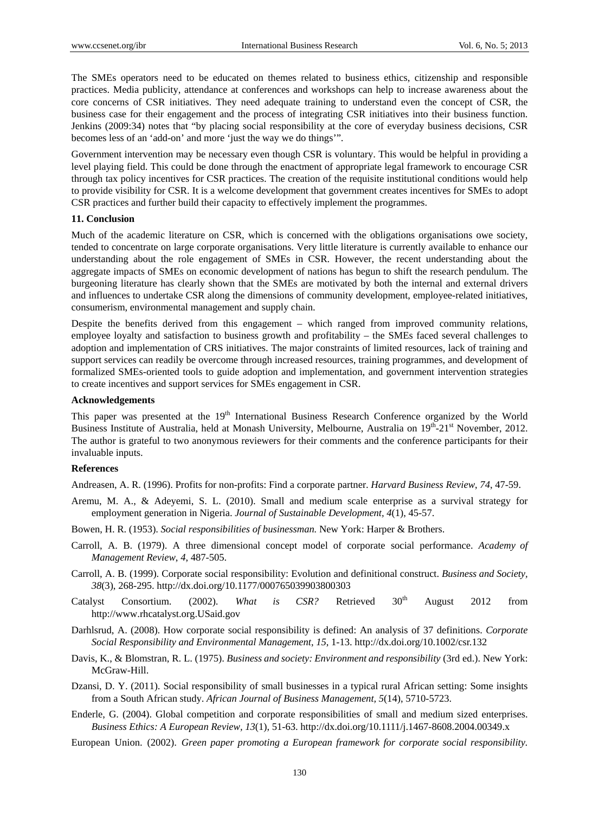The SMEs operators need to be educated on themes related to business ethics, citizenship and responsible practices. Media publicity, attendance at conferences and workshops can help to increase awareness about the core concerns of CSR initiatives. They need adequate training to understand even the concept of CSR, the business case for their engagement and the process of integrating CSR initiatives into their business function. Jenkins (2009:34) notes that "by placing social responsibility at the core of everyday business decisions, CSR becomes less of an 'add-on' and more 'just the way we do things'".

Government intervention may be necessary even though CSR is voluntary. This would be helpful in providing a level playing field. This could be done through the enactment of appropriate legal framework to encourage CSR through tax policy incentives for CSR practices. The creation of the requisite institutional conditions would help to provide visibility for CSR. It is a welcome development that government creates incentives for SMEs to adopt CSR practices and further build their capacity to effectively implement the programmes.

#### **11. Conclusion**

Much of the academic literature on CSR, which is concerned with the obligations organisations owe society, tended to concentrate on large corporate organisations. Very little literature is currently available to enhance our understanding about the role engagement of SMEs in CSR. However, the recent understanding about the aggregate impacts of SMEs on economic development of nations has begun to shift the research pendulum. The burgeoning literature has clearly shown that the SMEs are motivated by both the internal and external drivers and influences to undertake CSR along the dimensions of community development, employee-related initiatives, consumerism, environmental management and supply chain.

Despite the benefits derived from this engagement – which ranged from improved community relations, employee loyalty and satisfaction to business growth and profitability – the SMEs faced several challenges to adoption and implementation of CRS initiatives. The major constraints of limited resources, lack of training and support services can readily be overcome through increased resources, training programmes, and development of formalized SMEs-oriented tools to guide adoption and implementation, and government intervention strategies to create incentives and support services for SMEs engagement in CSR.

#### **Acknowledgements**

This paper was presented at the 19<sup>th</sup> International Business Research Conference organized by the World Business Institute of Australia, held at Monash University, Melbourne, Australia on 19<sup>th</sup>-21<sup>st</sup> November, 2012. The author is grateful to two anonymous reviewers for their comments and the conference participants for their invaluable inputs.

#### **References**

Andreasen, A. R. (1996). Profits for non-profits: Find a corporate partner. *Harvard Business Review*, *74*, 47-59.

- Aremu, M. A., & Adeyemi, S. L. (2010). Small and medium scale enterprise as a survival strategy for employment generation in Nigeria. *Journal of Sustainable Development, 4*(1), 45-57.
- Bowen, H. R. (1953). *Social responsibilities of businessman.* New York: Harper & Brothers.
- Carroll, A. B. (1979). A three dimensional concept model of corporate social performance. *Academy of Management Review*, *4*, 487-505.
- Carroll, A. B. (1999). Corporate social responsibility: Evolution and definitional construct. *Business and Society, 38*(3), 268-295. http://dx.doi.org/10.1177/000765039903800303
- Catalyst Consortium. (2002). *What is CSR?* Retrieved 30<sup>th</sup> August 2012 from http://www.rhcatalyst.org.USaid.gov
- Darhlsrud, A. (2008). How corporate social responsibility is defined: An analysis of 37 definitions. *Corporate Social Responsibility and Environmental Management*, *15*, 1-13. http://dx.doi.org/10.1002/csr.132
- Davis, K., & Blomstran, R. L. (1975). *Business and society: Environment and responsibility* (3rd ed.). New York: McGraw-Hill.
- Dzansi, D. Y. (2011). Social responsibility of small businesses in a typical rural African setting: Some insights from a South African study. *African Journal of Business Management, 5*(14), 5710-5723.
- Enderle, G. (2004). Global competition and corporate responsibilities of small and medium sized enterprises. *Business Ethics: A European Review, 13*(1), 51-63. http://dx.doi.org/10.1111/j.1467-8608.2004.00349.x
- European Union. (2002). *Green paper promoting a European framework for corporate social responsibility.*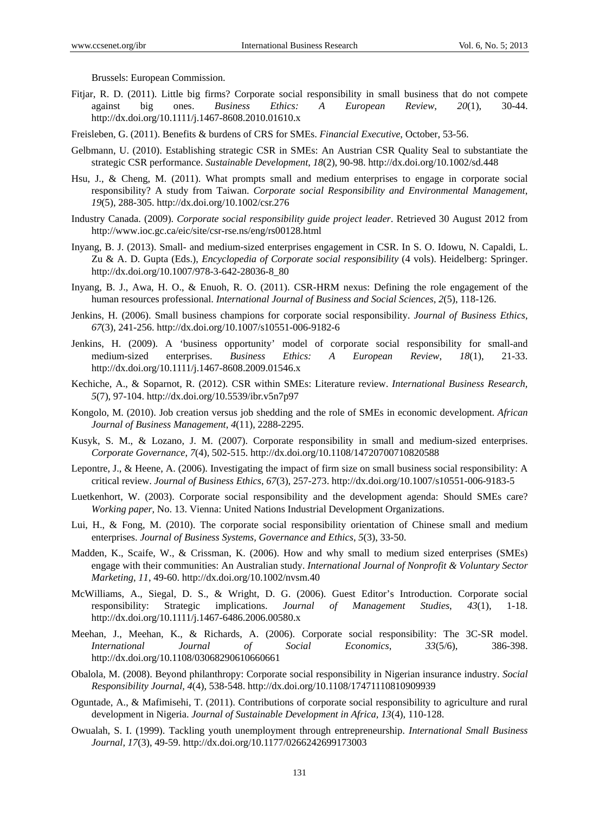Brussels: European Commission.

- Fitjar, R. D. (2011). Little big firms? Corporate social responsibility in small business that do not compete against big ones. *Business Ethics: A European Review*, *20*(1), 30-44. http://dx.doi.org/10.1111/j.1467-8608.2010.01610.x
- Freisleben, G. (2011). Benefits & burdens of CRS for SMEs. *Financial Executive*, October, 53-56.
- Gelbmann, U. (2010). Establishing strategic CSR in SMEs: An Austrian CSR Quality Seal to substantiate the strategic CSR performance. *Sustainable Development*, *18*(2), 90-98. http://dx.doi.org/10.1002/sd.448
- Hsu, J., & Cheng, M. (2011). What prompts small and medium enterprises to engage in corporate social responsibility? A study from Taiwan. *Corporate social Responsibility and Environmental Management*, *19*(5), 288-305. http://dx.doi.org/10.1002/csr.276
- Industry Canada. (2009). *Corporate social responsibility guide project leader*. Retrieved 30 August 2012 from http://www.ioc.gc.ca/eic/site/csr-rse.ns/eng/rs00128.html
- Inyang, B. J. (2013). Small- and medium-sized enterprises engagement in CSR. In S. O. Idowu, N. Capaldi, L. Zu & A. D. Gupta (Eds.), *Encyclopedia of Corporate social responsibility* (4 vols). Heidelberg: Springer. http://dx.doi.org/10.1007/978-3-642-28036-8\_80
- Inyang, B. J., Awa, H. O., & Enuoh, R. O. (2011). CSR-HRM nexus: Defining the role engagement of the human resources professional. *International Journal of Business and Social Sciences*, *2*(5), 118-126.
- Jenkins, H. (2006). Small business champions for corporate social responsibility. *Journal of Business Ethics*, *67*(3), 241-256. http://dx.doi.org/10.1007/s10551-006-9182-6
- Jenkins, H. (2009). A 'business opportunity' model of corporate social responsibility for small-and medium-sized enterprises. *Business Ethics: A European Review*, *18*(1), 21-33. http://dx.doi.org/10.1111/j.1467-8608.2009.01546.x
- Kechiche, A., & Soparnot, R. (2012). CSR within SMEs: Literature review. *International Business Research, 5*(7), 97-104. http://dx.doi.org/10.5539/ibr.v5n7p97
- Kongolo, M. (2010). Job creation versus job shedding and the role of SMEs in economic development. *African Journal of Business Management*, *4*(11), 2288-2295.
- Kusyk, S. M., & Lozano, J. M. (2007). Corporate responsibility in small and medium-sized enterprises. *Corporate Governance*, *7*(4), 502-515. http://dx.doi.org/10.1108/14720700710820588
- Lepontre, J., & Heene, A. (2006). Investigating the impact of firm size on small business social responsibility: A critical review. *Journal of Business Ethics*, *67*(3), 257-273. http://dx.doi.org/10.1007/s10551-006-9183-5
- Luetkenhort, W. (2003). Corporate social responsibility and the development agenda: Should SMEs care? *Working paper*, No. 13. Vienna: United Nations Industrial Development Organizations.
- Lui, H., & Fong, M. (2010). The corporate social responsibility orientation of Chinese small and medium enterprises. *Journal of Business Systems, Governance and Ethics*, *5*(3), 33-50.
- Madden, K., Scaife, W., & Crissman, K. (2006). How and why small to medium sized enterprises (SMEs) engage with their communities: An Australian study. *International Journal of Nonprofit & Voluntary Sector Marketing*, *11*, 49-60. http://dx.doi.org/10.1002/nvsm.40
- McWilliams, A., Siegal, D. S., & Wright, D. G. (2006). Guest Editor's Introduction. Corporate social responsibility: Strategic implications. *Journal of Management Studies*, *43*(1), 1-18. http://dx.doi.org/10.1111/j.1467-6486.2006.00580.x
- Meehan, J., Meehan, K., & Richards, A. (2006). Corporate social responsibility: The 3C-SR model. *International Journal of Social Economics*, *33*(5/6), 386-398. http://dx.doi.org/10.1108/03068290610660661
- Obalola, M. (2008). Beyond philanthropy: Corporate social responsibility in Nigerian insurance industry. *Social Responsibility Journal, 4*(4), 538-548. http://dx.doi.org/10.1108/17471110810909939
- Oguntade, A., & Mafimisehi, T. (2011). Contributions of corporate social responsibility to agriculture and rural development in Nigeria. *Journal of Sustainable Development in Africa, 13*(4), 110-128.
- Owualah, S. I. (1999). Tackling youth unemployment through entrepreneurship. *International Small Business Journal, 17*(3), 49-59. http://dx.doi.org/10.1177/0266242699173003